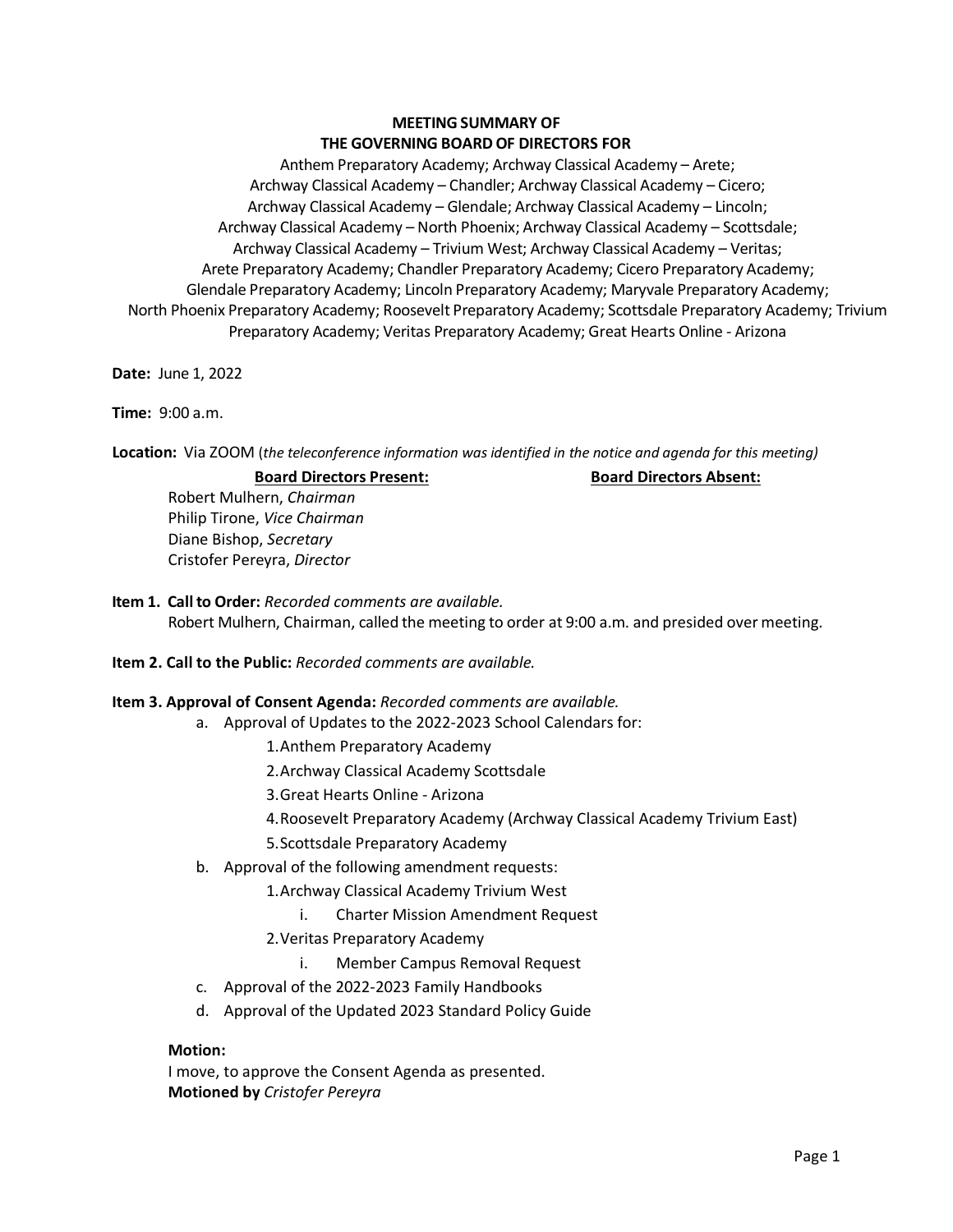# **MEETING SUMMARY OF THE GOVERNING BOARD OF DIRECTORS FOR**

 Anthem Preparatory Academy; Archway Classical Academy – Arete; Archway Classical Academy – Chandler; Archway Classical Academy – Cicero; Archway Classical Academy – Glendale; Archway Classical Academy – Lincoln; Archway Classical Academy – North Phoenix; Archway Classical Academy – Scottsdale; Archway Classical Academy – Trivium West; Archway Classical Academy – Veritas; North Phoenix Preparatory Academy; Roosevelt Preparatory Academy; Scottsdale Preparatory Academy; Trivium Preparatory Academy; Veritas Preparatory Academy; Great Hearts Online - Arizona Arete Preparatory Academy; Chandler Preparatory Academy; Cicero Preparatory Academy; Glendale Preparatory Academy; Lincoln Preparatory Academy; Maryvale Preparatory Academy;

**Date:** June 1, 2022

**Time:** 9:00 a.m.

**Location:** Via ZOOM (*the teleconference information was identified in the notice and agenda for this meeting)* 

# **Board Directors Present: Board Directors Absent: Board Directors Absent:**

 Robert Mulhern, *Chairman*  Philip Tirone, *Vice Chairman*  Diane Bishop, *Secretary* Cristofer Pereyra, *Director* 

- **Item 1. Call to Order:** *Recorded comments are available.*  Robert Mulhern, Chairman, called the meeting to order at 9:00 a.m. and presided over meeting.
- **Item 2. Call to the Public:** *Recorded comments are available.*

## **Item 3. Approval of Consent Agenda:** *Recorded comments are available.*

- a. Approval of Updates to the 2022-2023 School Calendars for:
	- 1.Anthem Preparatory Academy
	- 2.Archway Classical Academy Scottsdale
	- 3.Great Hearts Online Arizona
	- 4.Roosevelt Preparatory Academy (Archway Classical Academy Trivium East)
	- 5.Scottsdale Preparatory Academy
- b. Approval of the following amendment requests:
	- 1.Archway Classical Academy Trivium West
		- i. Charter Mission Amendment Request
	- 2.Veritas Preparatory Academy
		- i. Member Campus Removal Request
- c. Approval of the 2022-2023 Family Handbooks
- d. Approval of the Updated 2023 Standard Policy Guide

## **Motion:**

 I move, to approve the Consent Agenda as presented. **Motioned by** *Cristofer Pereyra*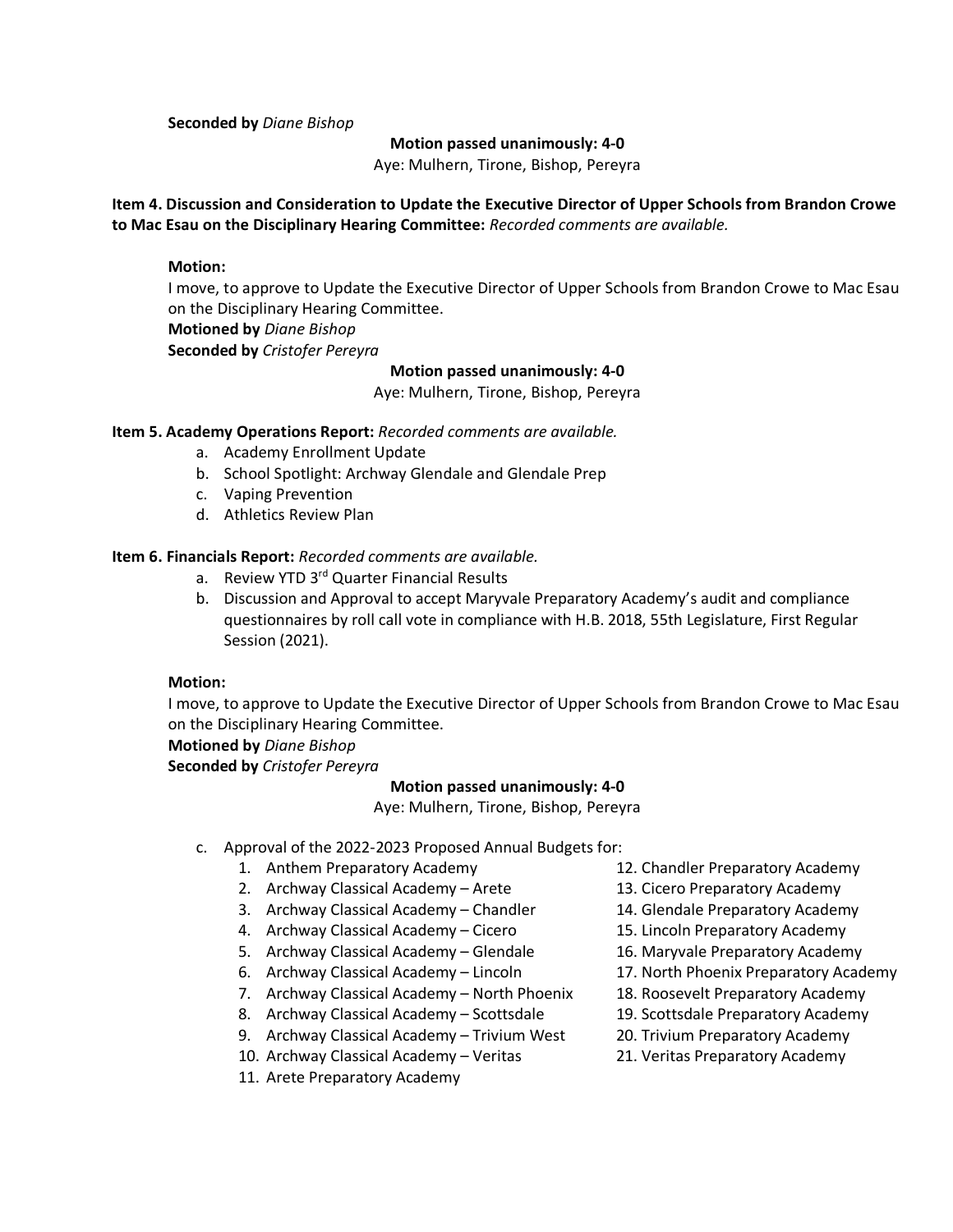**Seconded by** *Diane Bishop* 

#### **Motion passed unanimously: 4-0**

Aye: Mulhern, Tirone, Bishop, Pereyra

 **to Mac Esau on the Disciplinary Hearing Committee:** *Recorded comments are available.* **Item 4. Discussion and Consideration to Update the Executive Director of Upper Schools from Brandon Crowe** 

## **Motion:**

 I move, to approve to Update the Executive Director of Upper Schools from Brandon Crowe to Mac Esau on the Disciplinary Hearing Committee.

**Motioned by** *Diane Bishop* 

**Seconded by** *Cristofer Pereyra* 

## **Motion passed unanimously: 4-0**

Aye: Mulhern, Tirone, Bishop, Pereyra

#### **Item 5. Academy Operations Report:** *Recorded comments are available.*

- a. Academy Enrollment Update
- b. School Spotlight: Archway Glendale and Glendale Prep
- c. Vaping Prevention
- d. Athletics Review Plan

## **Item 6. Financials Report:** *Recorded comments are available.*

- a. Review YTD 3<sup>rd</sup> Quarter Financial Results
- b. Discussion and Approval to accept Maryvale Preparatory Academy's audit and compliance questionnaires by roll call vote in compliance with H.B. 2018, 55th Legislature, First Regular Session (2021).

## **Motion:**

 I move, to approve to Update the Executive Director of Upper Schools from Brandon Crowe to Mac Esau on the Disciplinary Hearing Committee.

**Motioned by** *Diane Bishop* 

**Seconded by** *Cristofer Pereyra* 

#### **Motion passed unanimously: 4-0**

Aye: Mulhern, Tirone, Bishop, Pereyra

- c. Approval of the 2022-2023 Proposed Annual Budgets for:
	- 1. Anthem Preparatory Academy 12. Chandler Preparatory Academy
	- 2. Archway Classical Academy Arete 13. Cicero Preparatory Academy
	- 3. Archway Classical Academy Chandler 14. Glendale Preparatory Academy
	- 4. Archway Classical Academy Cicero 15. Lincoln Preparatory Academy
	- 5. Archway Classical Academy Glendale 16. Maryvale Preparatory Academy
	- 6. Archway Classical Academy Lincoln 17. North Phoenix Preparatory Academy
	- 7. Archway Classical Academy North Phoenix 18. Roosevelt Preparatory Academy
	- 8. Archway Classical Academy Scottsdale 19. Scottsdale Preparatory Academy
	- 9. Archway Classical Academy Trivium West 20. Trivium Preparatory Academy
	- 10. Archway Classical Academy Veritas 21. Veritas Preparatory Academy
	- 11. Arete Preparatory Academy
- 
- 
- 
- 
- 
- 
- 
- 
- 
-